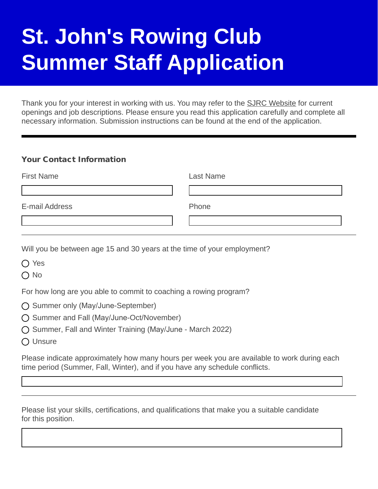## **St. John's Rowing Club Summer Staff Application**

Thank you for your interest in working with us. You may refer to the [SJRC Website](http://sjrc.ca) for current openings and job descriptions. Please ensure you read this application carefully and complete all necessary information. Submission instructions can be found at the end of the application.

## Your Contact Information

| <b>First Name</b> | <b>Last Name</b> |
|-------------------|------------------|
|                   |                  |
| E-mail Address    | Phone            |
|                   |                  |

Will you be between age 15 and 30 years at the time of your employment?

◯ Yes

 $\bigcap$  No

For how long are you able to commit to coaching a rowing program?

- ◯ Summer only (May/June-September)
- Summer and Fall (May/June-Oct/November)
- $\bigcap$  Summer, Fall and Winter Training (May/June March 2022)
- O Unsure

Please indicate approximately how many hours per week you are available to work during each time period (Summer, Fall, Winter), and if you have any schedule conflicts.

Please list your skills, certifications, and qualifications that make you a suitable candidate for this position.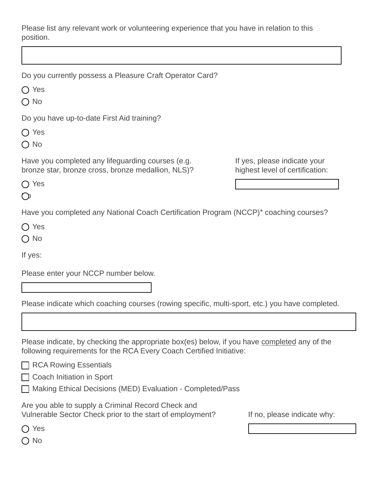Please list any relevant work or volunteering experience that you have in relation to this position.

◯ Yes

O No

Do you have up-to-date First Aid training?

◯ Yes

 $\bigcap$  No

Have you completed any lifeguarding courses (e.g. bronze star, bronze cross, bronze medallion, NLS)?

If yes, please indicate your highest level of certification:

O Yes

 $\mathcal{O}$ 

Have you completed any National Coach Certification Program (NCCP)\* coaching courses?

O Yes

 $\bigcap$  No

If yes:

Please enter your NCCP number below.

Please indicate which coaching courses (rowing specific, multi-sport, etc.) you have completed.

Please indicate, by checking the appropriate box(es) below, if you have completed any of the following requirements for the RCA Every Coach Certified Initiative:

**□ RCA Rowing Essentials** 

□ Coach Initiation in Sport

Making Ethical Decisions (MED) Evaluation - Completed/Pass

Are you able to supply a Criminal Record Check and Vulnerable Sector Check prior to the start of employment?

If no, please indicate why:

◯ Yes

 $\bigcirc$  No